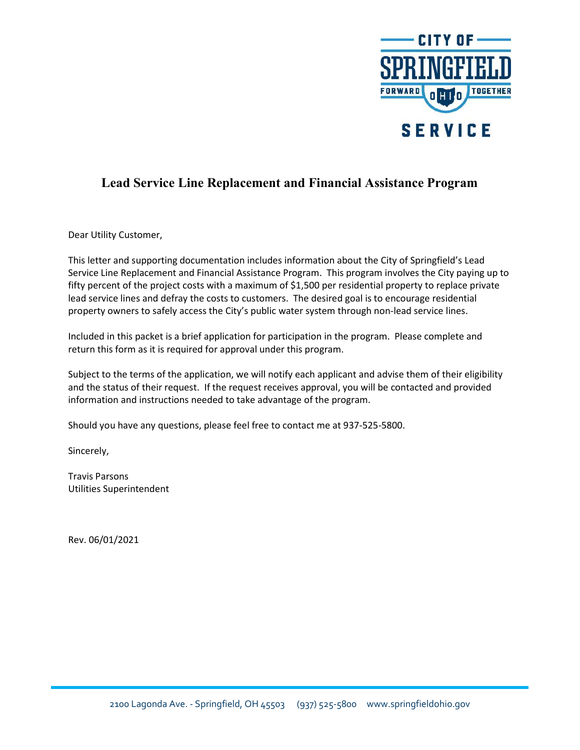

## Lead Service Line Replacement and Financial Assistance Program

Dear Utility Customer,

This letter and supporting documentation includes information about the City of Springfield's Lead Service Line Replacement and Financial Assistance Program. This program involves the City paying up to fifty percent of the project costs with a maximum of \$1,500 per residential property to replace private lead service lines and defray the costs to customers. The desired goal is to encourage residential property owners to safely access the City's public water system through non-lead service lines.

Included in this packet is a brief application for participation in the program. Please complete and return this form as it is required for approval under this program.

Subject to the terms of the application, we will notify each applicant and advise them of their eligibility and the status of their request. If the request receives approval, you will be contacted and provided information and instructions needed to take advantage of the program.

Should you have any questions, please feel free to contact me at 937-525-5800.

Sincerely,

Travis Parsons Utilities Superintendent

Rev. 06/01/2021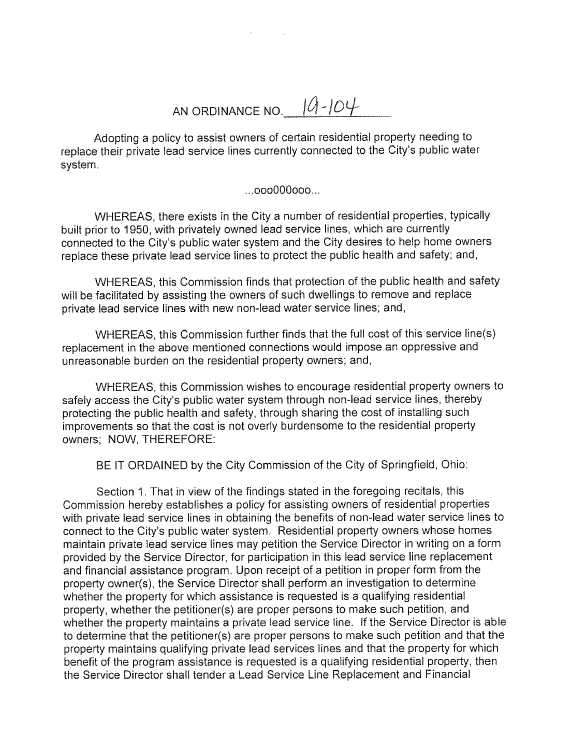AN ORDINANCE NO.  $10 - 104$ 

Adopting a policy to assist owners of certain residential property needing to replace their private lead service lines currently connected to the City's public water system.

 $...$ 000000000...

WHEREAS, there exists in the City a number of residential properties, typically built prior to 1950, with privately owned lead service lines, which are currently connected to the City's public water system and the City desires to help home owners replace these private lead service lines to protect the public health and safety; and,

WHEREAS, this Commission finds that protection of the public health and safety will be facilitated by assisting the owners of such dwellings to remove and replace private lead service lines with new non-lead water service lines; and,

WHEREAS, this Commission further finds that the full cost of this service line(s) replacement in the above mentioned connections would impose an oppressive and unreasonable burden on the residential property owners; and,

WHEREAS, this Commission wishes to encourage residential property owners to safely access the City's public water system through non-lead service lines, thereby protecting the public health and safety, through sharing the cost of installing such improvements so that the cost is not overly burdensome to the residential property owners; NOW, THEREFORE:

BE IT ORDAINED by the City Commission of the City of Springfield, Ohio:

Section 1. That in view of the findings stated in the foregoing recitals, this Commission hereby establishes a policy for assisting owners of residential properties with private lead service lines in obtaining the benefits of non-lead water service lines to connect to the City's public water system. Residential property owners whose homes maintain private lead service lines may petition the Service Director in writing on a form provided by the Service Director, for participation in this lead service line replacement and financial assistance program. Upon receipt of a petition in proper form from the property owner(s), the Service Director shall perform an investigation to determine whether the property for which assistance is requested is a qualifying residential property, whether the petitioner(s) are proper persons to make such petition, and whether the property maintains a private lead service line. If the Service Director is able to determine that the petitioner(s) are proper persons to make such petition and that the property maintains qualifying private lead services lines and that the property for which benefit of the program assistance is requested is a qualifying residential property, then the Service Director shall tender a Lead Service Line Replacement and Financial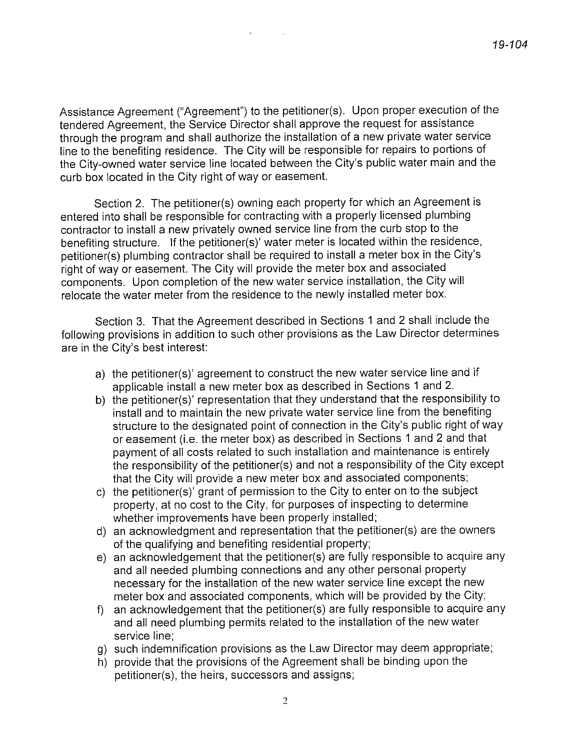Assistance Agreement ("Agreement") to the petitioner(s). Upon proper execution of the tendered Agreement, the Service Director shall approve the request for assistance through the program and shall authorize the installation of a new private water service line to the benefiting residence. The City will be responsible for repairs to portions of the City-owned water service line located between the City's public water main and the curb box located in the City right of way or easement.

Section 2. The petitioner(s) owning each property for which an Agreement is entered into shall be responsible for contracting with a properly licensed plumbing contractor to install a new privately owned service line from the curb stop to the benefiting structure. If the petitioner(s)' water meter is located within the residence, petitioner(s) plumbing contractor shall be required to install a meter box in the City's right of way or easement. The City will provide the meter box and associated components. Upon completion of the new water service installation, the City will relocate the water meter from the residence to the newly installed meter box.

Section 3. That the Agreement described in Sections 1 and 2 shall include the following provisions in addition to such other provisions as the Law Director determines are in the City's best interest:

- a) the petitioner(s)' agreement to construct the new water service line and if applicable install a new meter box as described in Sections 1 and 2.
- b) the petitioner(s)' representation that they understand that the responsibility to install and to maintain the new private water service line from the benefiting structure to the designated point of connection in the City's public right of way or easement (i.e. the meter box) as described in Sections 1 and 2 and that payment of all costs related to such installation and maintenance is entirely the responsibility of the petitioner(s) and not a responsibility of the City except that the City will provide a new meter box and associated components;
- c) the petitioner(s)' grant of permission to the City to enter on to the subject property, at no cost to the City, for purposes of inspecting to determine whether improvements have been properly installed;
- d) an acknowledgment and representation that the petitioner(s) are the owners of the qualifying and benefiting residential property;
- e) an acknowledgement that the petitioner(s) are fully responsible to acquire any and all needed plumbing connections and any other personal property necessary for the installation of the new water service line except the new meter box and associated components, which will be provided by the City;
- an acknowledgement that the petitioner(s) are fully responsible to acquire any f). and all need plumbing permits related to the installation of the new water service line:
- g) such indemnification provisions as the Law Director may deem appropriate;
- h) provide that the provisions of the Agreement shall be binding upon the petitioner(s), the heirs, successors and assigns;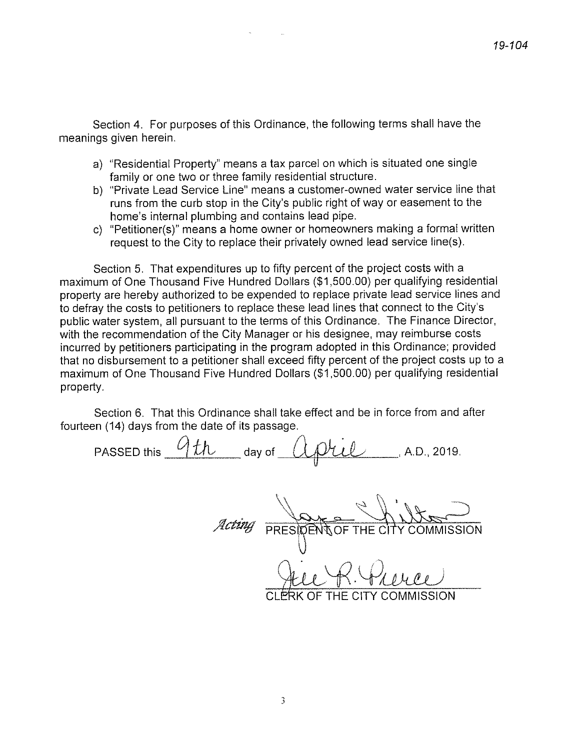Section 4. For purposes of this Ordinance, the following terms shall have the meanings given herein.

- a) "Residential Property" means a tax parcel on which is situated one single family or one two or three family residential structure.
- b) "Private Lead Service Line" means a customer-owned water service line that runs from the curb stop in the City's public right of way or easement to the home's internal plumbing and contains lead pipe.
- c) "Petitioner(s)" means a home owner or homeowners making a formal written request to the City to replace their privately owned lead service line(s).

Section 5. That expenditures up to fifty percent of the project costs with a maximum of One Thousand Five Hundred Dollars (\$1,500.00) per qualifying residential property are hereby authorized to be expended to replace private lead service lines and to defray the costs to petitioners to replace these lead lines that connect to the City's public water system, all pursuant to the terms of this Ordinance. The Finance Director, with the recommendation of the City Manager or his designee, may reimburse costs incurred by petitioners participating in the program adopted in this Ordinance; provided that no disbursement to a petitioner shall exceed fifty percent of the project costs up to a maximum of One Thousand Five Hundred Dollars (\$1,500.00) per qualifying residential property.

Section 6. That this Ordinance shall take effect and be in force from and after fourteen (14) days from the date of its passage.

PASSED this  $9th$  day of  $0.0011$ , A.D., 2019.

PRESIDENT OF THE C

THE CITY COMMISSION